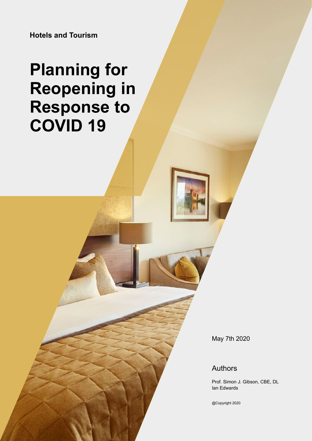**Hotels and Tourism**

# **Planning for Reopening in Response to COVID 19**

May 7th 2020

### Authors

Prof. Simon J. Gibson, CBE, DL Ian Edwards

@Copyright 2020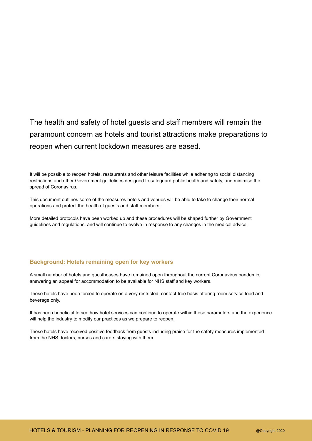### The health and safety of hotel guests and staff members will remain the paramount concern as hotels and tourist attractions make preparations to reopen when current lockdown measures are eased.

It will be possible to reopen hotels, restaurants and other leisure facilities while adhering to social distancing restrictions and other Government guidelines designed to safeguard public health and safety, and minimise the spread of Coronavirus.

This document outlines some of the measures hotels and venues will be able to take to change their normal operations and protect the health of guests and staff members.

More detailed protocols have been worked up and these procedures will be shaped further by Government guidelines and regulations, and will continue to evolve in response to any changes in the medical advice.

#### **Background: Hotels remaining open for key workers**

A small number of hotels and guesthouses have remained open throughout the current Coronavirus pandemic, answering an appeal for accommodation to be available for NHS staff and key workers.

These hotels have been forced to operate on a very restricted, contact-free basis offering room service food and beverage only.

It has been beneficial to see how hotel services can continue to operate within these parameters and the experience will help the industry to modify our practices as we prepare to reopen.

These hotels have received positive feedback from guests including praise for the safety measures implemented from the NHS doctors, nurses and carers staying with them.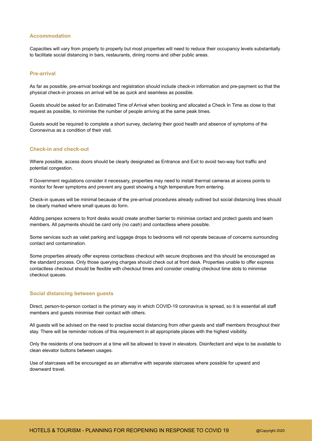#### **Accommodation**

Capacities will vary from property to property but most properties will need to reduce their occupancy levels substantially to facilitate social distancing in bars, restaurants, dining rooms and other public areas.

#### **Pre-arrival**

As far as possible, pre-arrival bookings and registration should include check-in information and pre-payment so that the physical check-in process on arrival will be as quick and seamless as possible.

Guests should be asked for an Estimated Time of Arrival when booking and allocated a Check In Time as close to that request as possible, to minimise the number of people arriving at the same peak times.

Guests would be required to complete a short survey, declaring their good health and absence of symptoms of the Coronavirus as a condition of their visit.

#### **Check-in and check-out**

Where possible, access doors should be clearly designated as Entrance and Exit to avoid two-way foot traffic and potential congestion.

If Government regulations consider it necessary, properties may need to install thermal cameras at access points to monitor for fever symptoms and prevent any guest showing a high temperature from entering.

Check-in queues will be minimal because of the pre-arrival procedures already outlined but social distancing lines should be clearly marked where small queues do form.

Adding perspex screens to front desks would create another barrier to minimise contact and protect guests and team members. All payments should be card only (no cash) and contactless where possible.

Some services such as valet parking and luggage drops to bedrooms will not operate because of concerns surrounding contact and contamination.

Some properties already offer express contactless checkout with secure dropboxes and this should be encouraged as the standard process. Only those querying charges should check out at front desk. Properties unable to offer express contactless checkout should be flexible with checkout times and consider creating checkout time slots to minimise checkout queues.

#### **Social distancing between guests**

Direct, person-to-person contact is the primary way in which COVID-19 coronavirus is spread, so it is essential all staff members and guests minimise their contact with others.

All guests will be advised on the need to practise social distancing from other guests and staff members throughout their stay. There will be reminder notices of this requirement in all appropriate places with the highest visibility.

Only the residents of one bedroom at a time will be allowed to travel in elevators. Disinfectant and wipe to be available to clean elevator buttons between usages.

Use of staircases will be encouraged as an alternative with separate staircases where possible for upward and downward travel.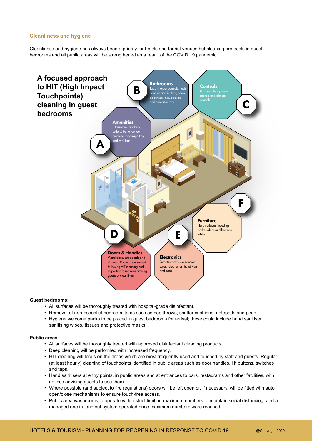#### **Cleanliness and hygiene**

Cleanliness and hygiene has always been a priority for hotels and tourist venues but cleaning protocols in guest bedrooms and all public areas will be strengthened as a result of the COVID 19 pandemic.



#### **Guest bedrooms:**

- All surfaces will be thoroughly treated with hospital-grade disinfectant.
- Removal of non-essential bedroom items such as bed throws, scatter cushions, notepads and pens.
- Hygiene welcome packs to be placed in guest bedrooms for arrival; these could include hand sanitiser, sanitising wipes, tissues and protective masks.

#### **Public areas**

- All surfaces will be thoroughly treated with approved disinfectant cleaning products.
- Deep cleaning will be performed with increased frequency.
- HIT cleaning will focus on the areas which are most frequently used and touched by staff and guests. Regular (at least hourly) cleaning of touchpoints identified in public areas such as door handles, lift buttons, switches and taps.
- Hand sanitisers at entry points, in public areas and at entrances to bars, restaurants and other facilities, with notices advising guests to use them.
- Where possible (and subject to fire regulations) doors will be left open or, if necessary, will be fitted with auto open/close mechanisms to ensure touch-free access.
- Public area washrooms to operate with a strict limit on maximum numbers to maintain social distancing, and a managed one in, one out system operated once maximum numbers were reached.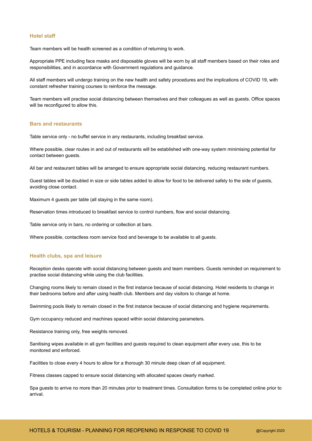#### **Hotel staff**

Team members will be health screened as a condition of returning to work.

Appropriate PPE including face masks and disposable gloves will be worn by all staff members based on their roles and responsibilities, and in accordance with Government regulations and guidance.

All staff members will undergo training on the new health and safety procedures and the implications of COVID 19, with constant refresher training courses to reinforce the message.

Team members will practise social distancing between themselves and their colleagues as well as guests. Office spaces will be reconfigured to allow this.

#### **Bars and restaurants**

Table service only - no buffet service in any restaurants, including breakfast service.

Where possible, clear routes in and out of restaurants will be established with one-way system minimising potential for contact between guests.

All bar and restaurant tables will be arranged to ensure appropriate social distancing, reducing restaurant numbers.

Guest tables will be doubled in size or side tables added to allow for food to be delivered safely to the side of guests, avoiding close contact.

Maximum 4 guests per table (all staying in the same room).

Reservation times introduced to breakfast service to control numbers, flow and social distancing.

Table service only in bars, no ordering or collection at bars.

Where possible, contactless room service food and beverage to be available to all guests.

#### **Health clubs, spa and leisure**

Reception desks operate with social distancing between guests and team members. Guests reminded on requirement to practise social distancing while using the club facilities.

Changing rooms likely to remain closed in the first instance because of social distancing. Hotel residents to change in their bedrooms before and after using health club. Members and day visitors to change at home.

Swimming pools likely to remain closed in the first instance because of social distancing and hygiene requirements.

Gym occupancy reduced and machines spaced within social distancing parameters.

Resistance training only, free weights removed.

Sanitising wipes available in all gym facilities and quests required to clean equipment after every use, this to be monitored and enforced.

Facilities to close every 4 hours to allow for a thorough 30 minute deep clean of all equipment.

Fitness classes capped to ensure social distancing with allocated spaces clearly marked.

Spa guests to arrive no more than 20 minutes prior to treatment times. Consultation forms to be completed online prior to arrival.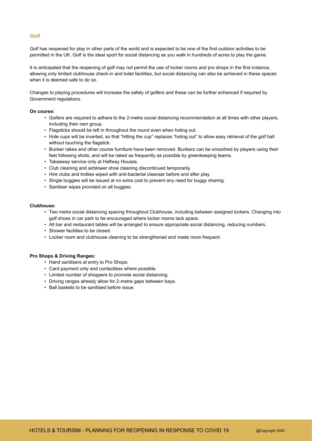#### **Golf**

Golf has reopened for play in other parts of the world and is expected to be one of the first outdoor activities to be permitted in the UK. Golf is the ideal sport for social distancing as you walk in hundreds of acres to play the game.

It is anticipated that the reopening of golf may not permit the use of locker rooms and pro shops in the first instance, allowing only limited clubhouse check-in and toilet facilities, but social distancing can also be achieved in these spaces when it is deemed safe to do so.

Changes to playing procedures will increase the safety of golfers and these can be further enhanced if required by Government regulations.

#### **On course:**

- Golfers are required to adhere to the 2-metre social distancing recommendation at all times with other players, including their own group.
- Flagsticks should be left in throughout the round even when holing out.
- Hole cups will be inverted, so that "hitting the cup" replaces "holing out" to allow easy retrieval of the golf ball without touching the flagstick.
- Bunker rakes and other course furniture have been removed. Bunkers can be smoothed by players using their feet following shots, and will be raked as frequently as possible by greenkeeping teams.
- Takeaway service only at Halfway Houses.
- Club cleaning and airblower shoe cleaning discontinued temporarily.
- Hire clubs and trollies wiped with anti-bacterial cleanser before and after play.
- Single buggies will be issued at no extra cost to prevent any need for buggy sharing.
- Sanitiser wipes provided on all buggies.

#### **Clubhouse:**

- Two metre social distancing spacing throughout Clubhouse, including between assigned lockers. Changing into golf shoes in car park to be encouraged where locker rooms lack space.
- All bar and restaurant tables will be arranged to ensure appropriate social distancing, reducing numbers.
- Shower facilities to be closed.
- Locker room and clubhouse cleaning to be strengthened and made more frequent.

#### **Pro Shops & Driving Ranges:**

- Hand sanitisers at entry to Pro Shops.
- Card payment only and contactless where possible.
- Limited number of shoppers to promote social distancing.
- Driving ranges already allow for 2-metre gaps between bays.
- Ball baskets to be sanitised before issue.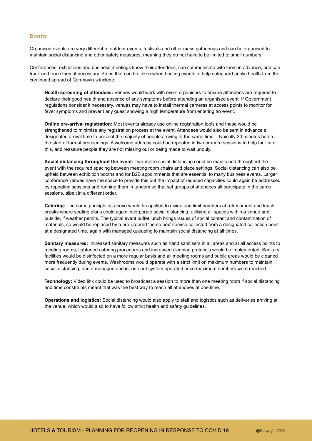#### **Events**

Organised events are very different to outdoor events, festivals and other mass gatherings and can be organised to maintain social distancing and other safety measures, meaning they do not have to be limited to small numbers.

Conferences, exhibitions and business meetings know their attendees, can communicate with them in advance, and can track and trace them if necessary. Steps that can be taken when hosting events to help safeguard public health from the continued spread of Coronavirus include:

**Health screening of attendees:** Venues would work with event organisers to ensure attendees are required to declare their good health and absence of any symptoms before attending an organised event. If Government regulations consider it necessary, venues may have to install thermal cameras at access points to monitor for fever symptoms and prevent any guest showing a high temperature from entering an event.

**Online pre-arrival registration:** Most events already use online registration tools and these would be strengthened to minimise any registration process at the event. Attendees would also be sent in advance a designated arrival time to prevent the majority of people arriving at the same time – typically 30 minutes before the start of formal proceedings. A welcome address could be repeated in two or more sessions to help facilitate this, and reassure people they are not missing out or being made to wait unduly.

**Social distancing throughout the event:** Two-metre social distancing could be maintained throughout the event with the required spacing between meeting room chairs and place settings. Social distancing can also be upheld between exhibition booths and for B2B appointments that are essential to many business events. Larger conference venues have the space to provide this but the impact of reduced capacities could again be addressed by repeating sessions and running them in tandem so that set groups of attendees all participate in the same sessions, albeit in a different order.

**Catering:** The same principle as above would be applied to divide and limit numbers at refreshment and lunch breaks where seating plans could again incorporate social distancing, utilising all spaces within a venue and outside, if weather pemits. The typical event buffet lunch brings issues of social contact and contamination of materials, so would be replaced by a pre-ordered 'bento box' service collected from a designated collection point at a designated time, again with managed queueing to maintain social distancing at all times.

**Sanitary measures:** Increased sanitary measures such as hand sanitisers in all areas and at all access points to meeting rooms, tightened catering procedures and increased cleaning protocols would be implemented. Sanitary facilities would be disinfected on a more regular basis and all meeting rooms and public areas would be cleaned more frequently during events. Washrooms would operate with a strict limit on maximum numbers to maintain social distancing, and a managed one in, one out system operated once maximum numbers were reached.

**Technology:** Video link could be used to broadcast a session to more than one meeting room if social distancing and time constraints meant that was the best way to reach all attendees at one time.

**Operations and logistics:** Social distancing would also apply to staff and logistics such as deliveries arriving at the venue, which would also to have follow strict health and safety guidelines.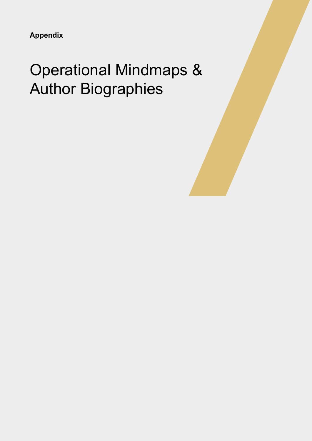**Appendix**

## Operational Mindmaps & Author Biographies

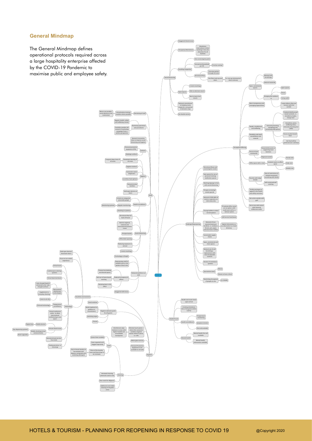#### **General Mindmap**

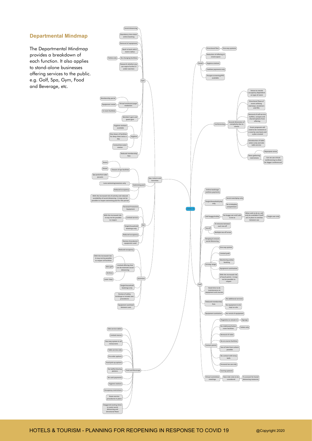#### **Departmental Mindmap**

The Departmental Mindmap provides a breakdown of each function. It also applies to stand-alone businesses offering services to the public. e.g. Golf, Spa, Gym, Food and Beverage, etc.